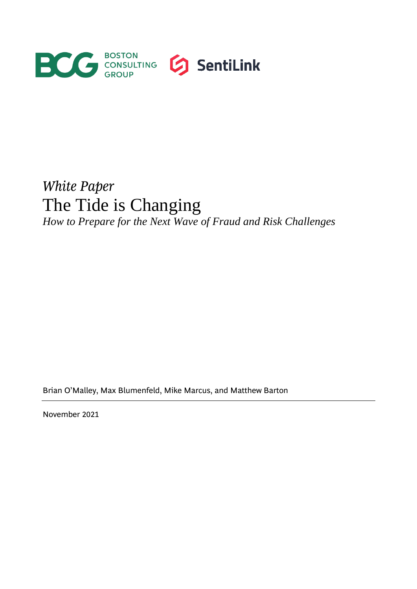

# *White Paper* The Tide is Changing

*How to Prepare for the Next Wave of Fraud and Risk Challenges*

Brian O'Malley, Max Blumenfeld, Mike Marcus, and Matthew Barton

November 2021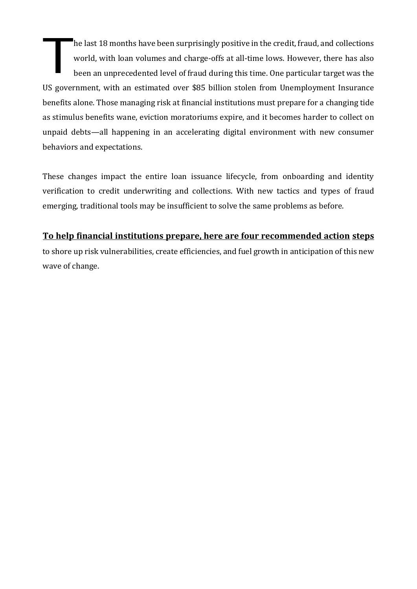he last 18 months have been surprisingly positive in the credit, fraud, and collections world, with loan volumes and charge-offs at all-time lows. However, there has also been an unprecedented level of fraud during this time. One particular target was the US government, with an estimated over \$85 billion stolen from Unemployment Insurance benefits alone. Those managing risk at financial institutions must prepare for a changing tide as stimulus benefits wane, eviction moratoriums expire, and it becomes harder to collect on unpaid debts—all happening in an accelerating digital environment with new consumer behaviors and expectations. T

These changes impact the entire loan issuance lifecycle, from onboarding and identity verification to credit underwriting and collections. With new tactics and types of fraud emerging, traditional tools may be insufficient to solve the same problems as before.

## **To help financial institutions prepare, here are four recommended action steps**

to shore up risk vulnerabilities, create efficiencies, and fuel growth in anticipation of this new wave of change.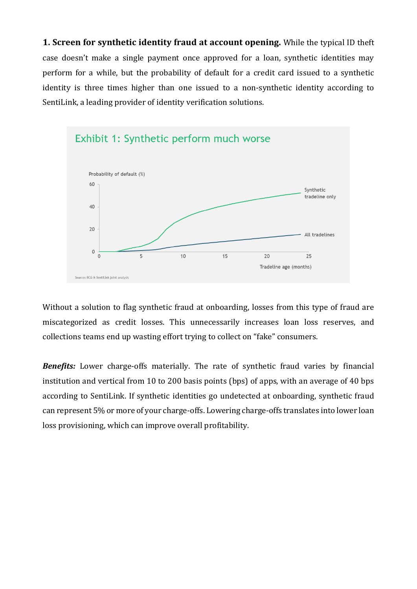**1. Screen for synthetic identity fraud at account opening.** While the typical ID theft case doesn't make a single payment once approved for a loan, synthetic identities may perform for a while, but the probability of default for a credit card issued to a synthetic identity is three times higher than one issued to a non-synthetic identity according to SentiLink, a leading provider of identity verification solutions.



Without a solution to flag synthetic fraud at onboarding, losses from this type of fraud are miscategorized as credit losses. This unnecessarily increases loan loss reserves, and collections teams end up wasting effort trying to collect on "fake" consumers.

**Benefits:** Lower charge-offs materially. The rate of synthetic fraud varies by financial institution and vertical from 10 to 200 basis points (bps) of apps, with an average of 40 bps according to SentiLink. If synthetic identities go undetected at onboarding, synthetic fraud can represent 5% or more of your charge-offs. Lowering charge-offs translates into lower loan loss provisioning, which can improve overall profitability.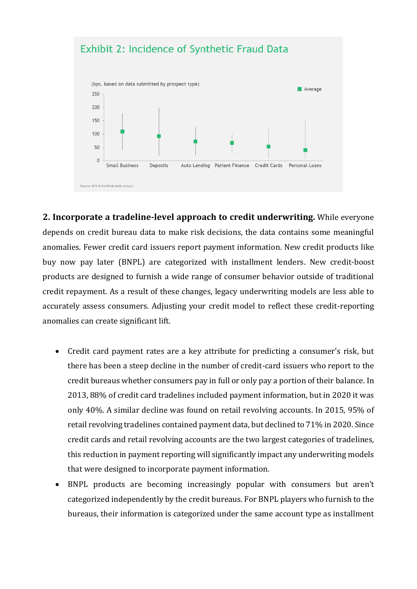

**2. Incorporate a tradeline-level approach to credit underwriting.** While everyone depends on credit bureau data to make risk decisions, the data contains some meaningful anomalies. Fewer credit card issuers report payment information. New credit products like buy now pay later (BNPL) are categorized with installment lenders. New credit-boost products are designed to furnish a wide range of consumer behavior outside of traditional credit repayment. As a result of these changes, legacy underwriting models are less able to accurately assess consumers. Adjusting your credit model to reflect these credit-reporting anomalies can create significant lift.

- Credit card payment rates are a key attribute for predicting a consumer's risk, but there has been a steep decline in the number of credit-card issuers who report to the credit bureaus whether consumers pay in full or only pay a portion of their balance. In 2013, [88% of credit](https://files.consumerfinance.gov/f/documents/cfpb_quarterly-consumer-credit-trends_report_2020-11.pdf) card tradelines included payment information, but in 2020 it was only 40%. A similar decline was found on retail revolving accounts. In 2015, 95% of retail revolving tradelines contained payment data, but declined to 71% in 2020. Since credit cards and retail revolving accounts are the two largest categories of tradelines, this reduction in payment reporting will significantly impact any underwriting models that were designed to incorporate payment information.
- BNPL products are becoming increasingly popular with consumers but aren't categorized independently by the credit bureaus. For BNPL players who furnish to the bureaus, their information is categorized under the same account type as installment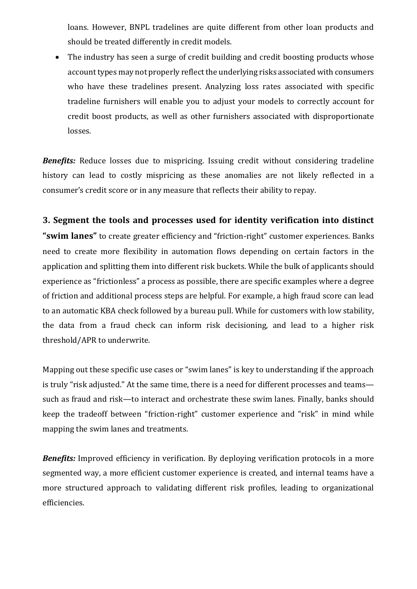loans. However, BNPL tradelines are quite different from other loan products and should be treated differently in credit models.

• The industry has seen a surge of credit building and credit boosting products whose account types may not properly reflect the underlying risks associated with consumers who have these tradelines present. Analyzing loss rates associated with specific tradeline furnishers will enable you to adjust your models to correctly account for credit boost products, as well as other furnishers associated with disproportionate losses.

**Benefits:** Reduce losses due to mispricing. Issuing credit without considering tradeline history can lead to costly mispricing as these anomalies are not likely reflected in a consumer's credit score or in any measure that reflects their ability to repay.

## **3. Segment the tools and processes used for identity verification into distinct**

**"swim lanes"** to create greater efficiency and "friction-right" customer experiences. Banks need to create more flexibility in automation flows depending on certain factors in the application and splitting them into different risk buckets. While the bulk of applicants should experience as "frictionless" a process as possible, there are specific examples where a degree of friction and additional process steps are helpful. For example, a high fraud score can lead to an automatic KBA check followed by a bureau pull. While for customers with low stability, the data from a fraud check can inform risk decisioning, and lead to a higher risk threshold/APR to underwrite.

Mapping out these specific use cases or "swim lanes" is key to understanding if the approach is truly "risk adjusted." At the same time, there is a need for different processes and teams such as fraud and risk—to interact and orchestrate these swim lanes. Finally, banks should keep the tradeoff between "friction-right" customer experience and "risk" in mind while mapping the swim lanes and treatments.

**Benefits:** Improved efficiency in verification. By deploying verification protocols in a more segmented way, a more efficient customer experience is created, and internal teams have a more structured approach to validating different risk profiles, leading to organizational efficiencies.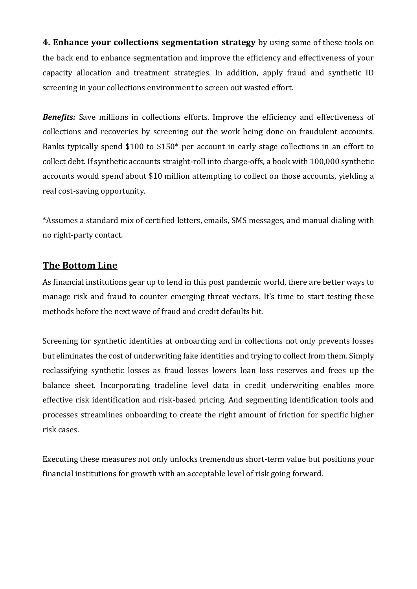**4. Enhance your collections segmentation strategy** by using some of these tools on the back end to enhance segmentation and improve the efficiency and effectiveness of your capacity allocation and treatment strategies. In addition, apply fraud and synthetic ID screening in your collections environment to screen out wasted effort.

**Benefits:** Save millions in collections efforts. Improve the efficiency and effectiveness of collections and recoveries by screening out the work being done on fraudulent accounts. Banks typically spend \$100 to \$150\* per account in early stage collections in an effort to collect debt. If synthetic accounts straight-roll into charge-offs, a book with 100,000 synthetic accounts would spend about \$10 million attempting to collect on those accounts, yielding a real cost-saving opportunity.

\*Assumes a standard mix of certified letters, emails, SMS messages, and manual dialing with no right-party contact.

## **The Bottom Line**

As financial institutions gear up to lend in this post pandemic world, there are better ways to manage risk and fraud to counter emerging threat vectors. It's time to start testing these methods before the next wave of fraud and credit defaults hit.

Screening for synthetic identities at onboarding and in collections not only prevents losses but eliminates the cost of underwriting fake identities and trying to collect from them. Simply reclassifying synthetic losses as fraud losses lowers loan loss reserves and frees up the balance sheet. Incorporating tradeline level data in credit underwriting enables more effective risk identification and risk-based pricing. And segmenting identification tools and processes streamlines onboarding to create the right amount of friction for specific higher risk cases.

Executing these measures not only unlocks tremendous short-term value but positions your financial institutions for growth with an acceptable level of risk going forward.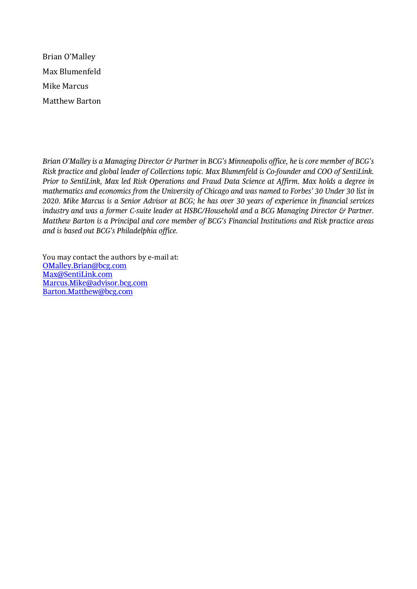Brian O'Malley Max Blumenfeld Mike Marcus Matthew Barton

*Brian O'Malley is a Managing Director & Partner in BCG's Minneapolis office, he is core member of BCG's Risk practice and global leader of Collections topic. Max Blumenfeld is Co-founder and COO of SentiLink. Prior to SentiLink, Max led Risk Operations and Fraud Data Science at Affirm. Max holds a degree in mathematics and economics from the University of Chicago and was named to Forbes' 30 Under 30 list in 2020. Mike Marcus is a Senior Advisor at BCG; he has over 30 years of experience in financial services industry and was a former C-suite leader at HSBC/Household and a BCG Managing Director & Partner. Matthew Barton is a Principal and core member of BCG's Financial Institutions and Risk practice areas and is based out BCG's Philadelphia office.* 

You may contact the authors by e-mail at: [OMalley.Brian@bcg.com](mailto:OMalley.Brian@bcg.com) [Max@SentiLink.com](mailto:Max@SentiLink.com) Marcus.Mike@advisor.bcg.com [Barton.Matthew@bcg.com](mailto:Barton.Matthew@bcg.com)